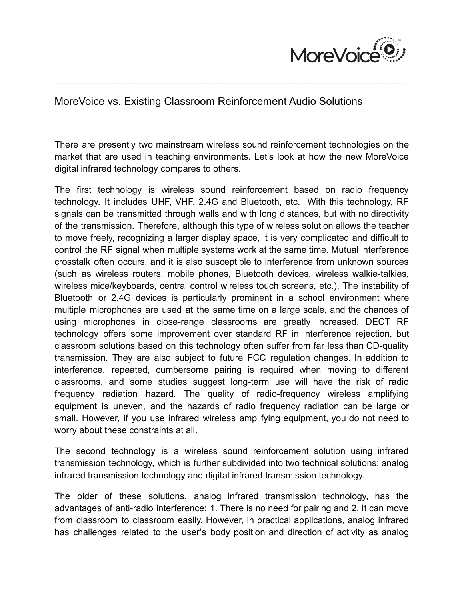

## MoreVoice vs. Existing Classroom Reinforcement Audio Solutions

There are presently two mainstream wireless sound reinforcement technologies on the market that are used in teaching environments. Let's look at how the new MoreVoice digital infrared technology compares to others.

 $\mathcal{L}_\mathcal{L} = \mathcal{L}_\mathcal{L} = \mathcal{L}_\mathcal{L} = \mathcal{L}_\mathcal{L} = \mathcal{L}_\mathcal{L} = \mathcal{L}_\mathcal{L} = \mathcal{L}_\mathcal{L} = \mathcal{L}_\mathcal{L} = \mathcal{L}_\mathcal{L} = \mathcal{L}_\mathcal{L} = \mathcal{L}_\mathcal{L} = \mathcal{L}_\mathcal{L} = \mathcal{L}_\mathcal{L} = \mathcal{L}_\mathcal{L} = \mathcal{L}_\mathcal{L} = \mathcal{L}_\mathcal{L} = \mathcal{L}_\mathcal{L}$ 

The first technology is wireless sound reinforcement based on radio frequency technology. It includes UHF, VHF, 2.4G and Bluetooth, etc. With this technology, RF signals can be transmitted through walls and with long distances, but with no directivity of the transmission. Therefore, although this type of wireless solution allows the teacher to move freely, recognizing a larger display space, it is very complicated and difficult to control the RF signal when multiple systems work at the same time. Mutual interference crosstalk often occurs, and it is also susceptible to interference from unknown sources (such as wireless routers, mobile phones, Bluetooth devices, wireless walkie-talkies, wireless mice/keyboards, central control wireless touch screens, etc.). The instability of Bluetooth or 2.4G devices is particularly prominent in a school environment where multiple microphones are used at the same time on a large scale, and the chances of using microphones in close-range classrooms are greatly increased. DECT RF technology offers some improvement over standard RF in interference rejection, but classroom solutions based on this technology often suffer from far less than CD-quality transmission. They are also subject to future FCC regulation changes. In addition to interference, repeated, cumbersome pairing is required when moving to different classrooms, and some studies suggest long-term use will have the risk of radio frequency radiation hazard. The quality of radio-frequency wireless amplifying equipment is uneven, and the hazards of radio frequency radiation can be large or small. However, if you use infrared wireless amplifying equipment, you do not need to worry about these constraints at all.

The second technology is a wireless sound reinforcement solution using infrared transmission technology, which is further subdivided into two technical solutions: analog infrared transmission technology and digital infrared transmission technology.

The older of these solutions, analog infrared transmission technology, has the advantages of anti-radio interference: 1. There is no need for pairing and 2. It can move from classroom to classroom easily. However, in practical applications, analog infrared has challenges related to the user's body position and direction of activity as analog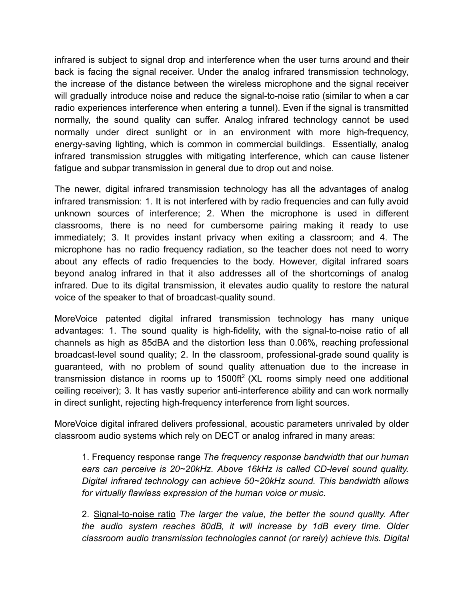infrared is subject to signal drop and interference when the user turns around and their back is facing the signal receiver. Under the analog infrared transmission technology, the increase of the distance between the wireless microphone and the signal receiver will gradually introduce noise and reduce the signal-to-noise ratio (similar to when a car radio experiences interference when entering a tunnel). Even if the signal is transmitted normally, the sound quality can suffer. Analog infrared technology cannot be used normally under direct sunlight or in an environment with more high-frequency, energy-saving lighting, which is common in commercial buildings. Essentially, analog infrared transmission struggles with mitigating interference, which can cause listener fatigue and subpar transmission in general due to drop out and noise.

The newer, digital infrared transmission technology has all the advantages of analog infrared transmission: 1. It is not interfered with by radio frequencies and can fully avoid unknown sources of interference; 2. When the microphone is used in different classrooms, there is no need for cumbersome pairing making it ready to use immediately; 3. It provides instant privacy when exiting a classroom; and 4. The microphone has no radio frequency radiation, so the teacher does not need to worry about any effects of radio frequencies to the body. However, digital infrared soars beyond analog infrared in that it also addresses all of the shortcomings of analog infrared. Due to its digital transmission, it elevates audio quality to restore the natural voice of the speaker to that of broadcast-quality sound.

MoreVoice patented digital infrared transmission technology has many unique advantages: 1. The sound quality is high-fidelity, with the signal-to-noise ratio of all channels as high as 85dBA and the distortion less than 0.06%, reaching professional broadcast-level sound quality; 2. In the classroom, professional-grade sound quality is guaranteed, with no problem of sound quality attenuation due to the increase in transmission distance in rooms up to  $1500\text{ft}^2$  (XL rooms simply need one additional ceiling receiver); 3. It has vastly superior anti-interference ability and can work normally in direct sunlight, rejecting high-frequency interference from light sources.

MoreVoice digital infrared delivers professional, acoustic parameters unrivaled by older classroom audio systems which rely on DECT or analog infrared in many areas:

1. Frequency response range *The frequency response bandwidth that our human ears can perceive is 20~20kHz. Above 16kHz is called CD-level sound quality. Digital infrared technology can achieve 50~20kHz sound. This bandwidth allows for virtually flawless expression of the human voice or music.*

2. Signal-to-noise ratio *The larger the value, the better the sound quality. After the audio system reaches 80dB, it will increase by 1dB every time. Older classroom audio transmission technologies cannot (or rarely) achieve this. Digital*